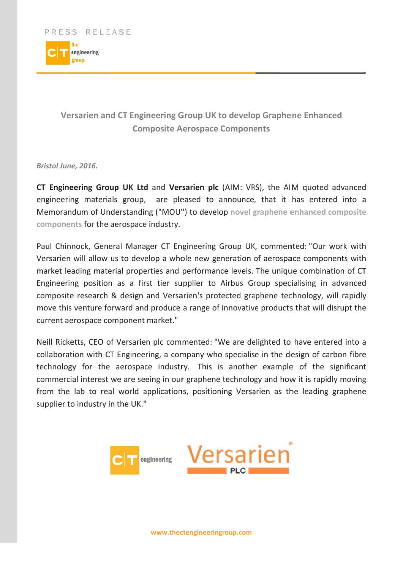

## Versarien and CT Engineering Group UK to develop Graphene Enhanced **Composite Aerospace Components**

Bristol June, 2016.

CT Engineering Group UK Ltd and Versarien plc (AIM: VRS), the AIM quoted advanced engineering materials group, are pleased to announce, that it has entered into a Memorandum of Understanding ("MOU") to develop novel graphene enhanced composite components for the aerospace industry.

Paul Chinnock, General Manager CT Engineering Group UK, commented: "Our work with Versarien will allow us to develop a whole new generation of aerospace components with market leading material properties and performance levels. The unique combination of CT Engineering position as a first tier supplier to Airbus Group specialising in advanced composite research & design and Versarien's protected graphene technology, will rapidly move this venture forward and produce a range of innovative products that will disrupt the current aerospace component market."

Neill Ricketts, CEO of Versarien plc commented: "We are delighted to have entered into a collaboration with CT Engineering, a company who specialise in the design of carbon fibre technology for the aerospace industry. This is another example of the significant commercial interest we are seeing in our graphene technology and how it is rapidly moving from the lab to real world applications, positioning Versarien as the leading graphene supplier to industry in the UK."